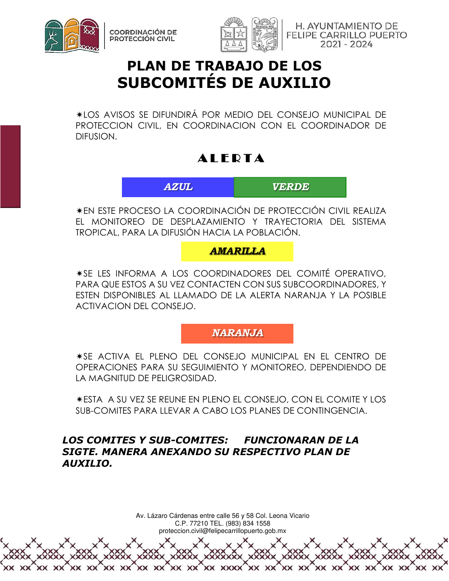



H. AYUNTAMIENTO DE **FELIPE CARRILLO PUERTO** 2021 - 2024

# **PLAN DE TRABAJO DE LOS SUBCOMITÉS DE AUXILIO**

LOS AVISOS SE DIFUNDIRÁ POR MEDIO DEL CONSEJO MUNICIPAL DE PROTECCION CIVIL, EN COORDINACION CON EL COORDINADOR DE DIFUSION.

## **AIFDTA**

*AZUL VERDE* 

EN ESTE PROCESO LA COORDINACIÓN DE PROTECCIÓN CIVIL REALIZA EL MONITOREO DE DESPLAZAMIENTO Y TRAYECTORIA DEL SISTEMA TROPICAL, PARA LA DIFUSIÓN HACIA LA POBLACIÓN.

#### *AMARILLA*

SE LES INFORMA A LOS COORDINADORES DEL COMITÉ OPERATIVO, PARA QUE ESTOS A SU VEZ CONTACTEN CON SUS SUBCOORDINADORES, Y ESTEN DISPONIBLES AL LLAMADO DE LA ALERTA NARANJA Y LA POSIBLE ACTIVACION DEL CONSEJO.

*NARANJA* 

SE ACTIVA EL PLENO DEL CONSEJO MUNICIPAL EN EL CENTRO DE OPERACIONES PARA SU SEGUIMIENTO Y MONITOREO, DEPENDIENDO DE LA MAGNITUD DE PELIGROSIDAD.

ESTA A SU VEZ SE REUNE EN PLENO EL CONSEJO, CON EL COMITE Y LOS SUB-COMITES PARA LLEVAR A CABO LOS PLANES DE CONTINGENCIA.

#### *LOS COMITES Y SUB-COMITES: FUNCIONARAN DE LA SIGTE. MANERA ANEXANDO SU RESPECTIVO PLAN DE AUXILIO.*

Av. Lázaro Cárdenas entre calle 56 y 58 Col. Leona Vicario C.P. 77210 TEL. (983) 834 1558

proteccion.civil@felipecarrillopuerto.gob.mx

XX XXXX

XX XX

 $\times\times$ 

 $XX$   $XX$ 

XX XX

XX XX

 $XX$  XX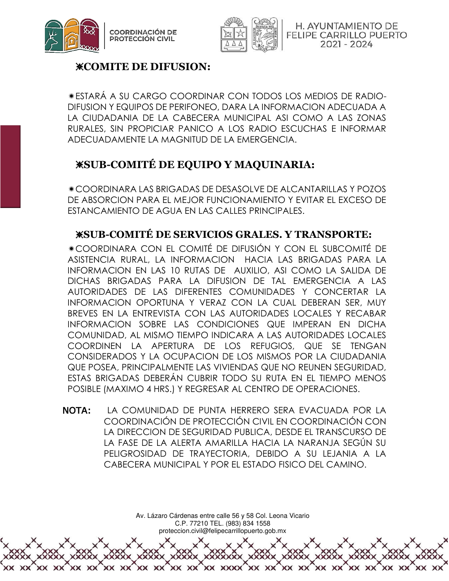



H. AYUNTAMIENTO DE **FELIPE CARRILLO PUERTO** 2021 - 2024

#### ❈**COMITE DE DIFUSION:**

ESTARÁ A SU CARGO COORDINAR CON TODOS LOS MEDIOS DE RADIO-DIFUSION Y EQUIPOS DE PERIFONEO, DARA LA INFORMACION ADECUADA A LA CIUDADANIA DE LA CABECERA MUNICIPAL ASI COMO A LAS ZONAS RURALES, SIN PROPICIAR PANICO A LOS RADIO ESCUCHAS E INFORMAR ADECUADAMENTE LA MAGNITUD DE LA EMERGENCIA.

### ❈**SUB-COMITÉ DE EQUIPO Y MAQUINARIA:**

COORDINARA LAS BRIGADAS DE DESASOLVE DE ALCANTARILLAS Y POZOS DE ABSORCION PARA EL MEJOR FUNCIONAMIENTO Y EVITAR EL EXCESO DE ESTANCAMIENTO DE AGUA EN LAS CALLES PRINCIPALES.

#### ❈**SUB-COMITÉ DE SERVICIOS GRALES. Y TRANSPORTE:**

COORDINARA CON EL COMITÉ DE DIFUSIÓN Y CON EL SUBCOMITÉ DE ASISTENCIA RURAL, LA INFORMACION HACIA LAS BRIGADAS PARA LA INFORMACION EN LAS 10 RUTAS DE AUXILIO, ASI COMO LA SALIDA DE DICHAS BRIGADAS PARA LA DIFUSION DE TAL EMERGENCIA A LAS AUTORIDADES DE LAS DIFERENTES COMUNIDADES Y CONCERTAR LA INFORMACION OPORTUNA Y VERAZ CON LA CUAL DEBERAN SER, MUY BREVES EN LA ENTREVISTA CON LAS AUTORIDADES LOCALES Y RECABAR INFORMACION SOBRE LAS CONDICIONES QUE IMPERAN EN DICHA COMUNIDAD, AL MISMO TIEMPO INDICARA A LAS AUTORIDADES LOCALES COORDINEN LA APERTURA DE LOS REFUGIOS, QUE SE TENGAN CONSIDERADOS Y LA OCUPACION DE LOS MISMOS POR LA CIUDADANIA QUE POSEA, PRINCIPALMENTE LAS VIVIENDAS QUE NO REUNEN SEGURIDAD, ESTAS BRIGADAS DEBERÁN CUBRIR TODO SU RUTA EN EL TIEMPO MENOS POSIBLE (MAXIMO 4 HRS.) Y REGRESAR AL CENTRO DE OPERACIONES.

NOTA: LA COMUNIDAD DE PUNTA HERRERO SERA EVACUADA POR LA COORDINACIÓN DE PROTECCIÓN CIVIL EN COORDINACIÓN CON LA DIRECCION DE SEGURIDAD PUBLICA, DESDE EL TRANSCURSO DE LA FASE DE LA ALERTA AMARILLA HACIA LA NARANJA SEGÚN SU PELIGROSIDAD DE TRAYECTORIA, DEBIDO A SU LEJANIA A LA CABECERA MUNICIPAL Y POR EL ESTADO FISICO DEL CAMINO.

> Av. Lázaro Cárdenas entre calle 56 y 58 Col. Leona Vicario C.P. 77210 TEL. (983) 834 1558 proteccion.civil@felipecarrillopuerto.gob.mx

> > XX XXXX

 $XX$  XX

XX XX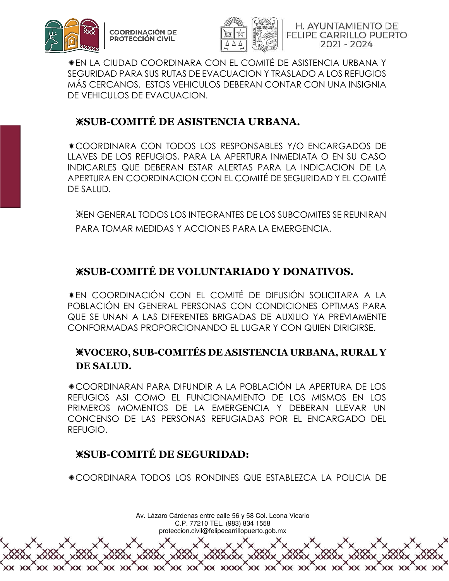



H. AYUNTAMIENTO DE FELIPE CARRILLO PUERTO 2021 - 2024

EN LA CIUDAD COORDINARA CON EL COMITÉ DE ASISTENCIA URBANA Y SEGURIDAD PARA SUS RUTAS DE EVACUACION Y TRASLADO A LOS REFUGIOS MÁS CERCANOS. ESTOS VEHICULOS DEBERAN CONTAR CON UNA INSIGNIA DE VEHICULOS DE EVACUACION.

## ❈**SUB-COMITÉ DE ASISTENCIA URBANA.**

COORDINARA CON TODOS LOS RESPONSABLES Y/O ENCARGADOS DE LLAVES DE LOS REFUGIOS, PARA LA APERTURA INMEDIATA O EN SU CASO INDICARLES QUE DEBERAN ESTAR ALERTAS PARA LA INDICACION DE LA APERTURA EN COORDINACION CON EL COMITÉ DE SEGURIDAD Y EL COMITÉ DE SALUD.

❈EN GENERAL TODOS LOS INTEGRANTES DE LOS SUBCOMITES SE REUNIRAN PARA TOMAR MEDIDAS Y ACCIONES PARA LA EMERGENCIA.

## ❈**SUB-COMITÉ DE VOLUNTARIADO Y DONATIVOS.**

EN COORDINACIÓN CON EL COMITÉ DE DIFUSIÓN SOLICITARA A LA POBLACIÓN EN GENERAL PERSONAS CON CONDICIONES OPTIMAS PARA QUE SE UNAN A LAS DIFERENTES BRIGADAS DE AUXILIO YA PREVIAMENTE CONFORMADAS PROPORCIONANDO EL LUGAR Y CON QUIEN DIRIGIRSE.

#### ❈**VOCERO, SUB-COMITÉS DE ASISTENCIA URBANA, RURAL Y DE SALUD.**

COORDINARAN PARA DIFUNDIR A LA POBLACIÓN LA APERTURA DE LOS REFUGIOS ASI COMO EL FUNCIONAMIENTO DE LOS MISMOS EN LOS PRIMEROS MOMENTOS DE LA EMERGENCIA Y DEBERAN LLEVAR UN CONCENSO DE LAS PERSONAS REFUGIADAS POR EL ENCARGADO DEL REFUGIO.

### ❈**SUB-COMITÉ DE SEGURIDAD:**

COORDINARA TODOS LOS RONDINES QUE ESTABLEZCA LA POLICIA DE

Av. Lázaro Cárdenas entre calle 56 y 58 Col. Leona Vicario C.P. 77210 TEL. (983) 834 1558 proteccion.civil@felipecarrillopuerto.gob.mx XXXXXX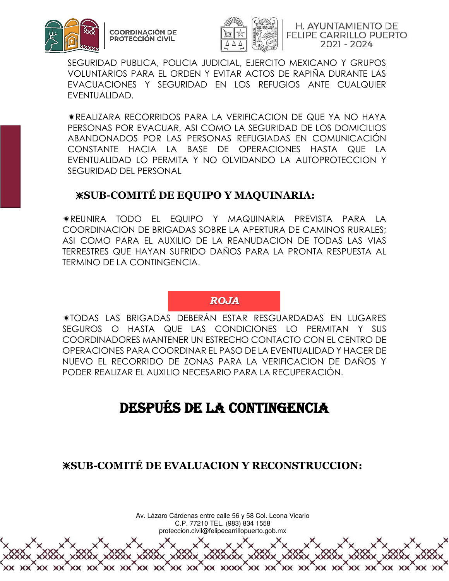



H. AYUNTAMIENTO DE **FELIPE CARRILLO PUERTO** 2021 - 2024

SEGURIDAD PUBLICA, POLICIA JUDICIAL, EJERCITO MEXICANO Y GRUPOS VOLUNTARIOS PARA EL ORDEN Y EVITAR ACTOS DE RAPIÑA DURANTE LAS EVACUACIONES Y SEGURIDAD EN LOS REFUGIOS ANTE CUALQUIER EVENTUALIDAD.

REALIZARA RECORRIDOS PARA LA VERIFICACION DE QUE YA NO HAYA PERSONAS POR EVACUAR, ASI COMO LA SEGURIDAD DE LOS DOMICILIOS ABANDONADOS POR LAS PERSONAS REFUGIADAS EN COMUNICACIÓN CONSTANTE HACIA LA BASE DE OPERACIONES HASTA QUE LA EVENTUALIDAD LO PERMITA Y NO OLVIDANDO LA AUTOPROTECCION Y SEGURIDAD DEL PERSONAL

#### ❈**SUB-COMITÉ DE EQUIPO Y MAQUINARIA:**

REUNIRA TODO EL EQUIPO Y MAQUINARIA PREVISTA PARA LA COORDINACION DE BRIGADAS SOBRE LA APERTURA DE CAMINOS RURALES; ASI COMO PARA EL AUXILIO DE LA REANUDACION DE TODAS LAS VIAS TERRESTRES QUE HAYAN SUFRIDO DAÑOS PARA LA PRONTA RESPUESTA AL TERMINO DE LA CONTINGENCIA.

#### *ROJA*

TODAS LAS BRIGADAS DEBERÁN ESTAR RESGUARDADAS EN LUGARES SEGUROS O HASTA QUE LAS CONDICIONES LO PERMITAN Y SUS COORDINADORES MANTENER UN ESTRECHO CONTACTO CON EL CENTRO DE OPERACIONES PARA COORDINAR EL PASO DE LA EVENTUALIDAD Y HACER DE NUEVO EL RECORRIDO DE ZONAS PARA LA VERIFICACION DE DAÑOS Y PODER REALIZAR EL AUXILIO NECESARIO PARA LA RECUPERACIÓN.

## DESPUÉS DE LA CONTINGENCIA

❈**SUB-COMITÉ DE EVALUACION Y RECONSTRUCCION:** 

Av. Lázaro Cárdenas entre calle 56 y 58 Col. Leona Vicario C.P. 77210 TEL. (983) 834 1558

proteccion.civil@felipecarrillopuerto.gob.mx

XX XX